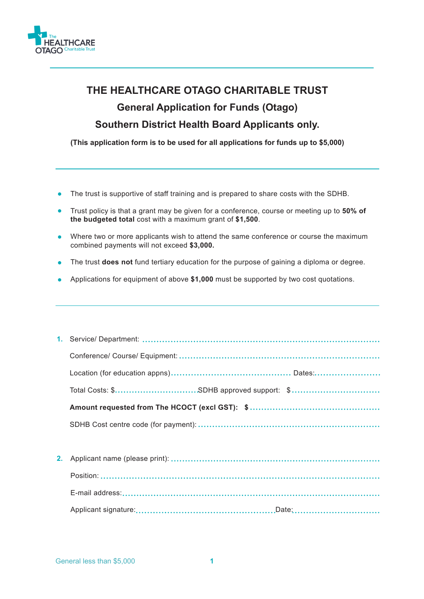

## **THE HEALTHCARE OTAGO CHARITABLE TRUST General Application for Funds (Otago) Southern District Health Board Applicants only.**

**(This application form is to be used for all applications for funds up to \$5,000)**

- The trust is supportive of staff training and is prepared to share costs with the SDHB.
- Trust policy is that a grant may be given for a conference, course or meeting up to **50% of the budgeted total** cost with a maximum grant of **\$1,500**.
- Where two or more applicants wish to attend the same conference or course the maximum combined payments will not exceed **\$3,000.**
- The trust **does not** fund tertiary education for the purpose of gaining a diploma or degree.
- Applications for equipment of above **\$1,000** must be supported by two cost quotations.

| 2. |  |  |  |
|----|--|--|--|
|    |  |  |  |
|    |  |  |  |
|    |  |  |  |
|    |  |  |  |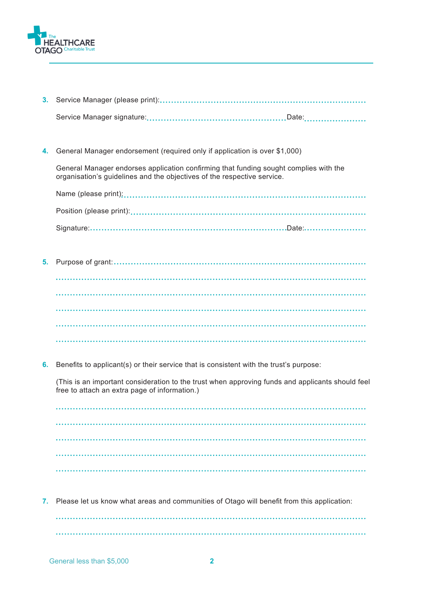

- **3.** Service Manager (please print): Service Manager signature: Date:
- General Manager endorsement (required only if application is over \$1,000) **4.**

General Manager endorses application confirming that funding sought complies with the organisation's guidelines and the objectives of the respective service.

Name (please print): Position (please print): Signature: Date:

- **5.** Purpose of grant:
- **6.** Benefits to applicant(s) or their service that is consistent with the trust's purpose:

(This is an important consideration to the trust when approving funds and applicants should feel free to attach an extra page of information.)

**7.** Please let us know what areas and communities of Otago will benefit from this application: